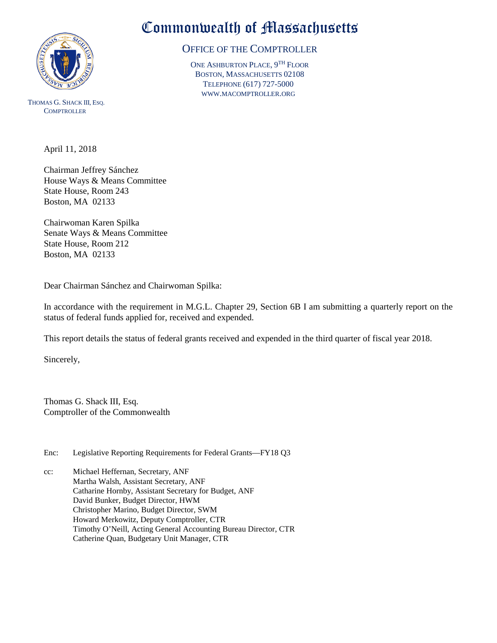

THOMAS G. SHACK III, ESQ. **COMPTROLLER** 

## Commonwealth of Massachusetts

## OFFICE OF THE COMPTROLLER

ONE ASHBURTON PLACE, 9TH FLOOR BOSTON, MASSACHUSETTS 02108 TELEPHONE (617) 727-5000 WWW.MACOMPTROLLER.ORG

April 11, 2018

Chairman Jeffrey Sánchez House Ways & Means Committee State House, Room 243 Boston, MA 02133

Chairwoman Karen Spilka Senate Ways & Means Committee State House, Room 212 Boston, MA 02133

Dear Chairman Sánchez and Chairwoman Spilka:

In accordance with the requirement in M.G.L. Chapter 29, Section 6B I am submitting a quarterly report on the status of federal funds applied for, received and expended.

This report details the status of federal grants received and expended in the third quarter of fiscal year 2018.

Sincerely,

Thomas G. Shack III, Esq. Comptroller of the Commonwealth

Enc: Legislative Reporting Requirements for Federal Grants—FY18 Q3

cc: Michael Heffernan, Secretary, ANF Martha Walsh, Assistant Secretary, ANF Catharine Hornby, Assistant Secretary for Budget, ANF David Bunker, Budget Director, HWM Christopher Marino, Budget Director, SWM Howard Merkowitz, Deputy Comptroller, CTR Timothy O'Neill, Acting General Accounting Bureau Director, CTR Catherine Quan, Budgetary Unit Manager, CTR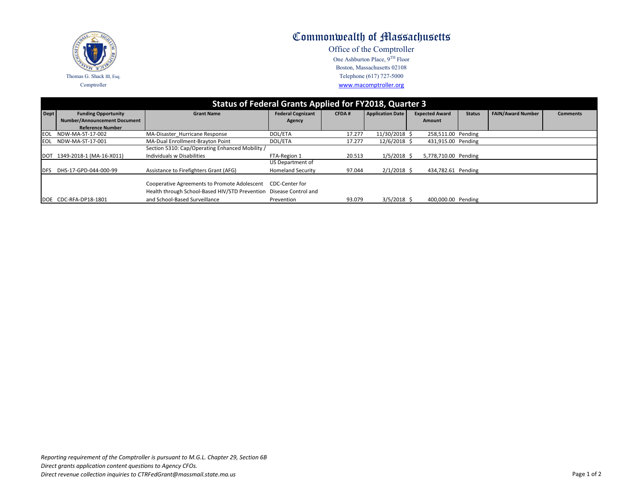

## Commonwealth of Massachusetts

Office of the Comptroller One Ashburton Place, 9<sup>TH</sup> Floor Boston, Massachusetts 02108 Telephone (617) 727-5000 www.macomptroller.org

| Status of Federal Grants Applied for FY2018, Quarter 3 |                                     |                                                                    |                          |              |                         |                       |               |                          |                 |  |  |
|--------------------------------------------------------|-------------------------------------|--------------------------------------------------------------------|--------------------------|--------------|-------------------------|-----------------------|---------------|--------------------------|-----------------|--|--|
| Dept                                                   | <b>Funding Opportunity</b>          | <b>Grant Name</b>                                                  | <b>Federal Cognizant</b> | <b>CFDA#</b> | <b>Application Date</b> | <b>Expected Award</b> | <b>Status</b> | <b>FAIN/Award Number</b> | <b>Comments</b> |  |  |
|                                                        | <b>Number/Announcement Document</b> |                                                                    | Agency                   |              |                         | Amount                |               |                          |                 |  |  |
|                                                        | <b>Reference Number</b>             |                                                                    |                          |              |                         |                       |               |                          |                 |  |  |
| <b>IEOL</b>                                            | NDW-MA-ST-17-002                    | MA-Disaster Hurricane Response                                     | DOL/ETA                  | 17.277       | 11/30/2018 \$           | 258,511.00 Pending    |               |                          |                 |  |  |
| IEOL                                                   | NDW-MA-ST-17-001                    | MA-Dual Enrollment-Brayton Point                                   | DOL/ETA                  | 17.277       | $12/6/2018$ \$          | 431,915.00 Pending    |               |                          |                 |  |  |
|                                                        |                                     | Section 5310: Cap/Operating Enhanced Mobility /                    |                          |              |                         |                       |               |                          |                 |  |  |
|                                                        | DOT 1349-2018-1 (MA-16-X011)        | Individuals w Disabilities                                         | FTA-Region 1             | 20.513       | $1/5/2018$ \$           | 5,778,710.00 Pending  |               |                          |                 |  |  |
|                                                        |                                     |                                                                    | US Department of         |              |                         |                       |               |                          |                 |  |  |
| <b>I</b> DFS                                           | DHS-17-GPD-044-000-99               | Assistance to Firefighters Grant (AFG)                             | <b>Homeland Security</b> | 97.044       | $2/1/2018$ \$           | 434,782.61 Pending    |               |                          |                 |  |  |
|                                                        |                                     |                                                                    |                          |              |                         |                       |               |                          |                 |  |  |
|                                                        |                                     | Cooperative Agreements to Promote Adolescent                       | CDC-Center for           |              |                         |                       |               |                          |                 |  |  |
|                                                        |                                     | Health through School-Based HIV/STD Prevention Disease Control and |                          |              |                         |                       |               |                          |                 |  |  |
|                                                        | DOE CDC-RFA-DP18-1801               | and School-Based Surveillance                                      | Prevention               | 93.079       | $3/5/2018$ \$           | 400,000.00 Pending    |               |                          |                 |  |  |